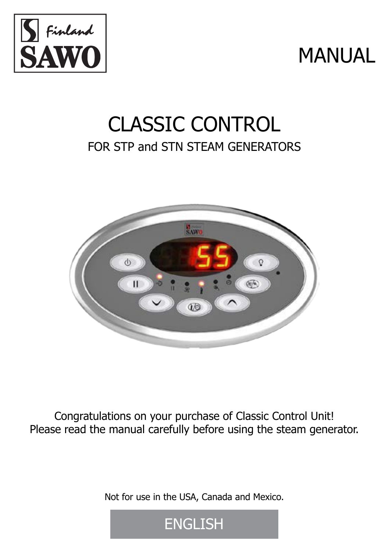

# MANUAL

## CLASSIC CONTROL FOR STP and STN STEAM GENERATORS



Congratulations on your purchase of Classic Control Unit! Please read the manual carefully before using the steam generator.

Not for use in the USA, Canada and Mexico.

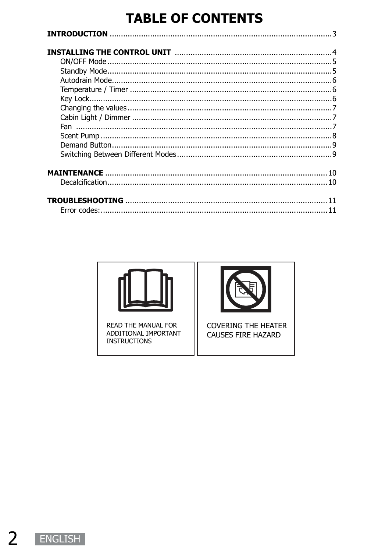### **TABLE OF CONTENTS**

| 10 |
|----|
|    |
|    |



READ THE MANUAL FOR ADDITIONAL IMPORTANT **INSTRUCTIONS** 



**COVERING THE HEATER CAUSES FIRE HAZARD**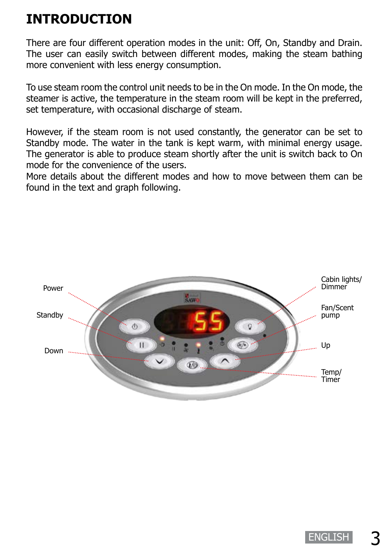## **INTRODUCTION**

There are four different operation modes in the unit: Off, On, Standby and Drain. The user can easily switch between different modes, making the steam bathing more convenient with less energy consumption.

To use steam room the control unit needs to be in the On mode. In the On mode, the steamer is active, the temperature in the steam room will be kept in the preferred, set temperature, with occasional discharge of steam.

However, if the steam room is not used constantly, the generator can be set to Standby mode. The water in the tank is kept warm, with minimal energy usage. The generator is able to produce steam shortly after the unit is switch back to On mode for the convenience of the users.

More details about the different modes and how to move between them can be found in the text and graph following.

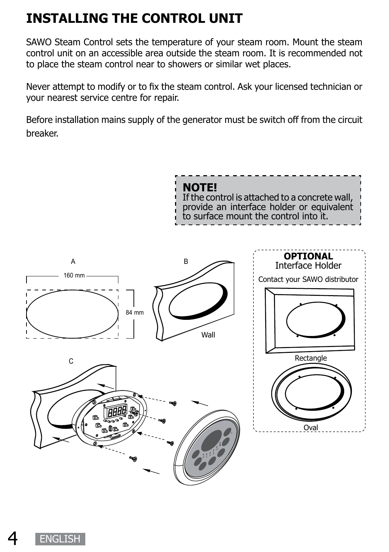## **INSTALLING THE CONTROL UNIT**

SAWO Steam Control sets the temperature of your steam room. Mount the steam control unit on an accessible area outside the steam room. It is recommended not to place the steam control near to showers or similar wet places.

Never attempt to modify or to fix the steam control. Ask your licensed technician or your nearest service centre for repair.

Before installation mains supply of the generator must be switch off from the circuit breaker.

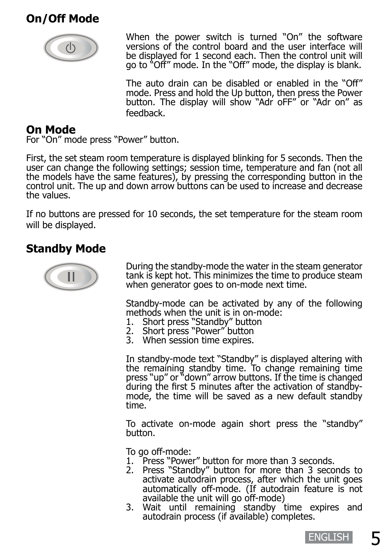#### **On/Off Mode**



When the power switch is turned "On" the software versions of the control board and the user interface will be displayed for 1 second each. Then the control unit will go to "Off" mode. In the "Off" mode, the display is blank.

The auto drain can be disabled or enabled in the "Off" mode. Press and hold the Up button, then press the Power button. The display will show "Adr oFF" or "Adr on" as feedback.

#### **On Mode**

For "On" mode press "Power" button.

First, the set steam room temperature is displayed blinking for 5 seconds. Then the user can change the following settings; session time, temperature and fan (not all the models have the same features), by pressing the corresponding button in the control unit. The up and down arrow buttons can be used to increase and decrease the values.

If no buttons are pressed for 10 seconds, the set temperature for the steam room will be displayed.

#### **Standby Mode**



During the standby-mode the water in the steam generator tank is kept hot. This minimizes the time to produce steam when generator goes to on-mode next time.

Standby-mode can be activated by any of the following methods when the unit is in on-mode:

- 1. Short press "Standby" button<br>2. Short press "Power" button
- Short press "Power" button
- 3. When session time expires.

In standby-mode text "Standby" is displayed altering with the remaining standby time. To change remaining time press "up" or "down" arrow buttons. If the time is changed during the first 5 minutes after the activation of standbymode, the time will be saved as a new default standby time.

To activate on-mode again short press the "standby" button.

To go off-mode:

- 1. Press "Power" button for more than 3 seconds.
- 2. Press "Standby" button for more than 3 seconds to activate autodrain process, after which the unit goes automatically off-mode. (If autodrain feature is not available the unit will go off-mode)
- 3. Wait until remaining standby time expires and autodrain process (if available) completes.

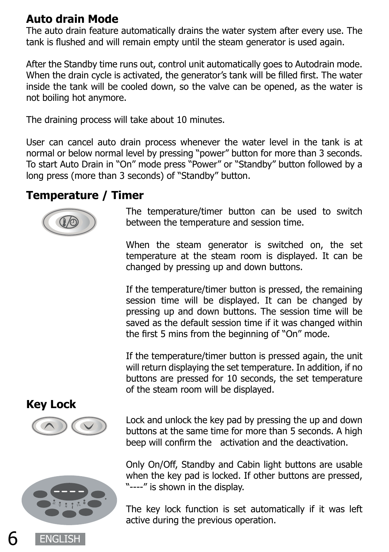#### **Auto drain Mode**

The auto drain feature automatically drains the water system after every use. The tank is flushed and will remain empty until the steam generator is used again.

After the Standby time runs out, control unit automatically goes to Autodrain mode. When the drain cycle is activated, the generator's tank will be filled first. The water inside the tank will be cooled down, so the valve can be opened, as the water is not boiling hot anymore.

The draining process will take about 10 minutes.

User can cancel auto drain process whenever the water level in the tank is at normal or below normal level by pressing "power" button for more than 3 seconds. To start Auto Drain in "On" mode press "Power" or "Standby" button followed by a long press (more than 3 seconds) of "Standby" button.

#### **Temperature / Timer**



The temperature/timer button can be used to switch between the temperature and session time.

When the steam generator is switched on, the set temperature at the steam room is displayed. It can be changed by pressing up and down buttons.

If the temperature/timer button is pressed, the remaining session time will be displayed. It can be changed by pressing up and down buttons. The session time will be saved as the default session time if it was changed within the first 5 mins from the beginning of "On" mode.

If the temperature/timer button is pressed again, the unit will return displaying the set temperature. In addition, if no buttons are pressed for 10 seconds, the set temperature of the steam room will be displayed.

#### **Key Lock**



Lock and unlock the key pad by pressing the up and down buttons at the same time for more than 5 seconds. A high beep will confirm the activation and the deactivation.

Only On/Off, Standby and Cabin light buttons are usable when the key pad is locked. If other buttons are pressed, "----" is shown in the display.

The key lock function is set automatically if it was left active during the previous operation.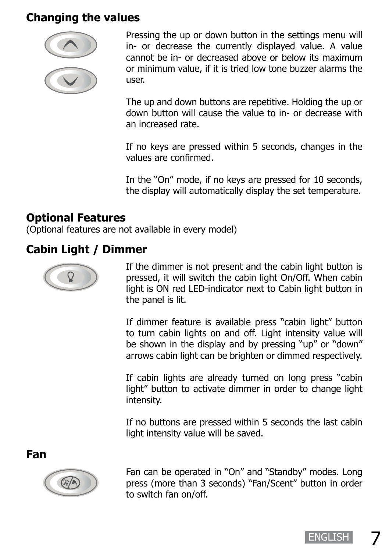#### **Changing the values**



Pressing the up or down button in the settings menu will in- or decrease the currently displayed value. A value cannot be in- or decreased above or below its maximum or minimum value, if it is tried low tone buzzer alarms the user.

The up and down buttons are repetitive. Holding the up or down button will cause the value to in- or decrease with an increased rate.

If no keys are pressed within 5 seconds, changes in the values are confirmed.

In the "On" mode, if no keys are pressed for 10 seconds, the display will automatically display the set temperature.

#### **Optional Features**

(Optional features are not available in every model)

#### **Cabin Light / Dimmer**



If the dimmer is not present and the cabin light button is pressed, it will switch the cabin light On/Off. When cabin light is ON red LED-indicator next to Cabin light button in the panel is lit.

If dimmer feature is available press "cabin light" button to turn cabin lights on and off. Light intensity value will be shown in the display and by pressing "up" or "down" arrows cabin light can be brighten or dimmed respectively.

If cabin lights are already turned on long press "cabin light" button to activate dimmer in order to change light intensity.

If no buttons are pressed within 5 seconds the last cabin light intensity value will be saved.

**Fan**



Fan can be operated in "On" and "Standby" modes. Long press (more than 3 seconds) "Fan/Scent" button in order to switch fan on/off.

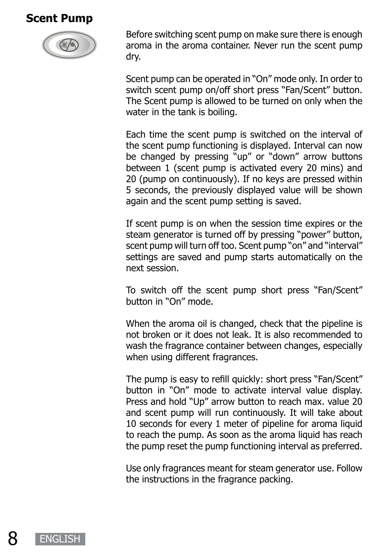#### **Scent Pump**



Before switching scent pump on make sure there is enough aroma in the aroma container. Never run the scent pump dry.

Scent pump can be operated in "On" mode only. In order to switch scent pump on/off short press "Fan/Scent" button. The Scent pump is allowed to be turned on only when the water in the tank is boiling.

Each time the scent pump is switched on the interval of the scent pump functioning is displayed. Interval can now be changed by pressing "up" or "down" arrow buttons between 1 (scent pump is activated every 20 mins) and 20 (pump on continuously). If no keys are pressed within 5 seconds, the previously displayed value will be shown again and the scent pump setting is saved.

If scent pump is on when the session time expires or the steam generator is turned off by pressing "power" button, scent pump will turn off too. Scent pump "on" and "interval" settings are saved and pump starts automatically on the next session.

To switch off the scent pump short press "Fan/Scent" button in "On" mode.

When the aroma oil is changed, check that the pipeline is not broken or it does not leak. It is also recommended to wash the fragrance container between changes, especially when using different fragrances.

The pump is easy to refill quickly: short press "Fan/Scent" button in "On" mode to activate interval value display. Press and hold "Up" arrow button to reach max. value 20 and scent pump will run continuously. It will take about 10 seconds for every 1 meter of pipeline for aroma liquid to reach the pump. As soon as the aroma liquid has reach the pump reset the pump functioning interval as preferred.

Use only fragrances meant for steam generator use. Follow the instructions in the fragrance packing.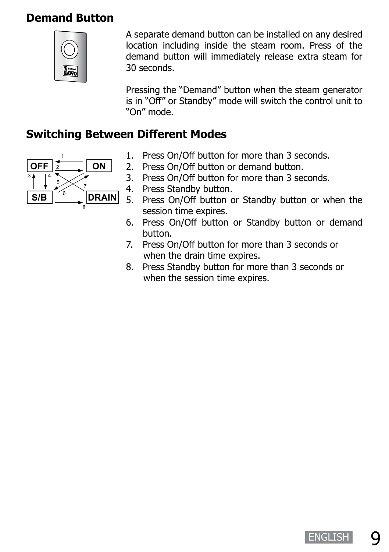#### **Demand Button**



A separate demand button can be installed on any desired location including inside the steam room. Press of the demand button will immediately release extra steam for 30 seconds.

Pressing the "Demand" button when the steam generator is in "Off" or Standby" mode will switch the control unit to "On" mode.

#### **Switching Between Different Modes**



- 1. Press On/Off button for more than 3 seconds.
- 2. Press On/Off button or demand button.
- 3. Press On/Off button for more than 3 seconds.
- 4. Press Standby button.
- 5. Press On/Off button or Standby button or when the session time expires.
- 6. Press On/Off button or Standby button or demand button.
- 7. Press On/Off button for more than 3 seconds or when the drain time expires.
- 8. Press Standby button for more than 3 seconds or when the session time expires.

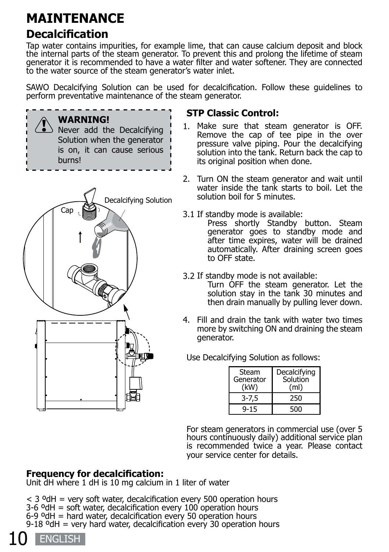## **MAINTENANCE**

#### **Decalcification**

Tap water contains impurities, for example lime, that can cause calcium deposit and block the internal parts of the steam generator. To prevent this and prolong the lifetime of steam generator it is recommended to have a water filter and water softener. They are connected to the water source of the steam generator's water inlet.

SAWO Decalcifying Solution can be used for decalcification. Follow these guidelines to perform preventative maintenance of the steam generator.





#### **STP Classic Control:**

- 1. Make sure that steam generator is OFF. Remove the cap of tee pipe in the over pressure valve piping. Pour the decalcifying solution into the tank. Return back the cap to its original position when done.
- 2. Turn ON the steam generator and wait until water inside the tank starts to boil. Let the solution boil for 5 minutes.
- 3.1 If standby mode is available:

Press shortly Standby button. Steam generator goes to standby mode and after time expires, water will be drained automatically. After draining screen goes to OFF state.

3.2 If standby mode is not available:

Turn OFF the steam generator. Let the solution stay in the tank 30 minutes and then drain manually by pulling lever down.

4. Fill and drain the tank with water two times more by switching ON and draining the steam generator.

Use Decalcifying Solution as follows:

| Steam<br>Generator<br>(kW) | Decalcifying<br>Solution<br>(ml) |
|----------------------------|----------------------------------|
| $3 - 7,5$                  | 250                              |
| $9 - 15$                   | 500                              |

For steam generators in commercial use (over 5 hours continuously daily) additional service plan is recommended twice a year. Please contact your service center for details.

#### **Frequency for decalcification:**

Unit dH where 1 dH is 10 mg calcium in 1 liter of water

 $<$  3 <sup>o</sup>dH = very soft water, decalcification every 500 operation hours 3-6 ºdH = soft water, decalcification every 100 operation hours 6-9 ºdH = hard water, decalcification every 50 operation hours  $9-18$  <sup>o</sup>dH = very hard water, decalcification every 30 operation hours

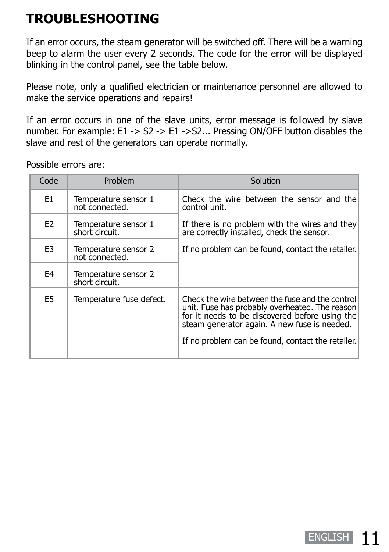## **TROUBLESHOOTING**

If an error occurs, the steam generator will be switched off. There will be a warning beep to alarm the user every 2 seconds. The code for the error will be displayed blinking in the control panel, see the table below.

Please note, only a qualified electrician or maintenance personnel are allowed to make the service operations and repairs!

If an error occurs in one of the slave units, error message is followed by slave number. For example: E1 -> S2 -> E1 ->S2... Pressing ON/OFF button disables the slave and rest of the generators can operate normally.

Possible errors are:

| Code           | Problem                                | Solution                                                                                                                                                                                                                                                 |
|----------------|----------------------------------------|----------------------------------------------------------------------------------------------------------------------------------------------------------------------------------------------------------------------------------------------------------|
| E1             | Temperature sensor 1<br>not connected. | Check the wire between the sensor and the<br>control unit.                                                                                                                                                                                               |
| E <sub>2</sub> | Temperature sensor 1<br>short circuit. | If there is no problem with the wires and they<br>are correctly installed, check the sensor.                                                                                                                                                             |
| E <sub>3</sub> | Temperature sensor 2<br>not connected. | If no problem can be found, contact the retailer.                                                                                                                                                                                                        |
| E4             | Temperature sensor 2<br>short circuit. |                                                                                                                                                                                                                                                          |
| E5             | Temperature fuse defect.               | Check the wire between the fuse and the control<br>unit. Fuse has probably overheated. The reason<br>for it needs to be discovered before using the<br>steam generator again. A new fuse is needed.<br>If no problem can be found, contact the retailer. |